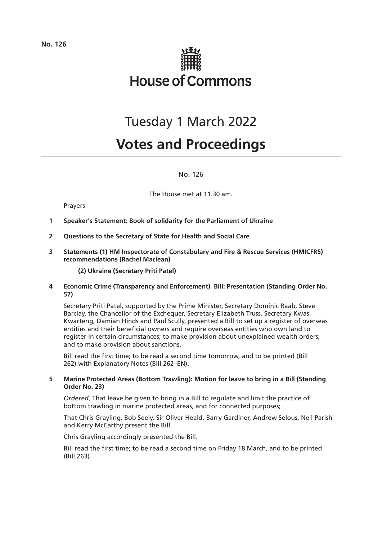

# Tuesday 1 March 2022

# **Votes and Proceedings**

No. 126

The House met at 11.30 am.

## Prayers

- **1 Speaker's Statement: Book of solidarity for the Parliament of Ukraine**
- **2 Questions to the Secretary of State for Health and Social Care**
- **3 Statements (1) HM Inspectorate of Constabulary and Fire & Rescue Services (HMICFRS) recommendations (Rachel Maclean)**

**(2) Ukraine (Secretary Priti Patel)**

**4 Economic Crime (Transparency and Enforcement) Bill: Presentation (Standing Order No. 57)**

Secretary Priti Patel, supported by the Prime Minister, Secretary Dominic Raab, Steve Barclay, the Chancellor of the Exchequer, Secretary Elizabeth Truss, Secretary Kwasi Kwarteng, Damian Hinds and Paul Scully, presented a Bill to set up a register of overseas entities and their beneficial owners and require overseas entities who own land to register in certain circumstances; to make provision about unexplained wealth orders; and to make provision about sanctions.

Bill read the first time; to be read a second time tomorrow, and to be printed (Bill 262) with Explanatory Notes (Bill 262–EN).

## **5 Marine Protected Areas (Bottom Trawling): Motion for leave to bring in a Bill (Standing Order No. 23)**

*Ordered*, That leave be given to bring in a Bill to regulate and limit the practice of bottom trawling in marine protected areas, and for connected purposes;

That Chris Grayling, Bob Seely, Sir Oliver Heald, Barry Gardiner, Andrew Selous, Neil Parish and Kerry McCarthy present the Bill.

Chris Grayling accordingly presented the Bill.

Bill read the first time; to be read a second time on Friday 18 March, and to be printed (Bill 263).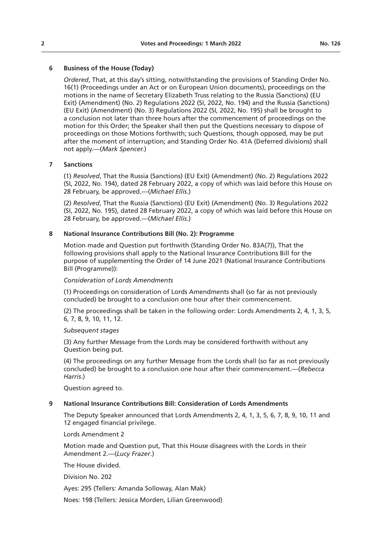#### **2 Votes and Proceedings: 1 March 2022 No. 126**

## **6 Business of the House (Today)**

*Ordered*, That, at this day's sitting, notwithstanding the provisions of Standing Order No. 16(1) (Proceedings under an Act or on European Union documents), proceedings on the motions in the name of Secretary Elizabeth Truss relating to the Russia (Sanctions) (EU Exit) (Amendment) (No. 2) Regulations 2022 (SI, 2022, No. 194) and the Russia (Sanctions) (EU Exit) (Amendment) (No. 3) Regulations 2022 (SI, 2022, No. 195) shall be brought to a conclusion not later than three hours after the commencement of proceedings on the motion for this Order; the Speaker shall then put the Questions necessary to dispose of proceedings on those Motions forthwith; such Questions, though opposed, may be put after the moment of interruption; and Standing Order No. 41A (Deferred divisions) shall not apply.—(*Mark Spencer.*)

## **7 Sanctions**

(1) *Resolved*, That the Russia (Sanctions) (EU Exit) (Amendment) (No. 2) Regulations 2022 (SI, 2022, No. 194), dated 28 February 2022, a copy of which was laid before this House on 28 February, be approved.—(*Michael Ellis*.)

(2) *Resolved*, That the Russia (Sanctions) (EU Exit) (Amendment) (No. 3) Regulations 2022 (SI, 2022, No. 195), dated 28 February 2022, a copy of which was laid before this House on 28 February, be approved.—(*Michael Ellis*.)

## **8 National Insurance Contributions Bill (No. 2): Programme**

Motion made and Question put forthwith (Standing Order No. 83A(7)), That the following provisions shall apply to the National Insurance Contributions Bill for the purpose of supplementing the Order of 14 June 2021 (National Insurance Contributions Bill (Programme)):

## *Consideration of Lords Amendments*

(1) Proceedings on consideration of Lords Amendments shall (so far as not previously concluded) be brought to a conclusion one hour after their commencement.

(2) The proceedings shall be taken in the following order: Lords Amendments 2, 4, 1, 3, 5, 6, 7, 8, 9, 10, 11, 12.

## *Subsequent stages*

(3) Any further Message from the Lords may be considered forthwith without any Question being put.

(4) The proceedings on any further Message from the Lords shall (so far as not previously concluded) be brought to a conclusion one hour after their commencement.—(*Rebecca Harris*.)

Question agreed to.

## **9 National Insurance Contributions Bill: Consideration of Lords Amendments**

The Deputy Speaker announced that Lords Amendments 2, 4, 1, 3, 5, 6, 7, 8, 9, 10, 11 and 12 engaged financial privilege.

Lords Amendment 2

Motion made and Question put, That this House disagrees with the Lords in their Amendment 2.—(*Lucy Frazer*.)

The House divided.

Division No. 202

Ayes: 295 (Tellers: Amanda Solloway, Alan Mak)

Noes: 198 (Tellers: Jessica Morden, Lilian Greenwood)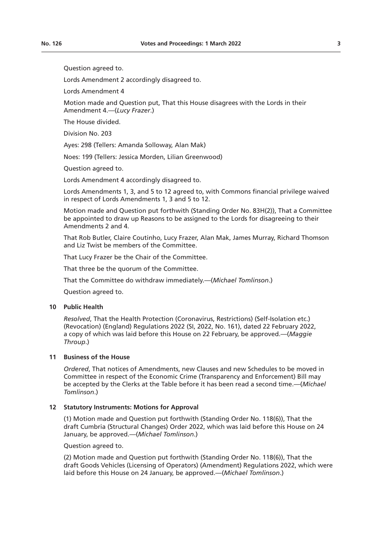Question agreed to.

Lords Amendment 2 accordingly disagreed to.

Lords Amendment 4

Motion made and Question put, That this House disagrees with the Lords in their Amendment 4.—(*Lucy Frazer*.)

The House divided.

Division No. 203

Ayes: 298 (Tellers: Amanda Solloway, Alan Mak)

Noes: 199 (Tellers: Jessica Morden, Lilian Greenwood)

Question agreed to.

Lords Amendment 4 accordingly disagreed to.

Lords Amendments 1, 3, and 5 to 12 agreed to, with Commons financial privilege waived in respect of Lords Amendments 1, 3 and 5 to 12.

Motion made and Question put forthwith (Standing Order No. 83H(2)), That a Committee be appointed to draw up Reasons to be assigned to the Lords for disagreeing to their Amendments 2 and 4.

That Rob Butler, Claire Coutinho, Lucy Frazer, Alan Mak, James Murray, Richard Thomson and Liz Twist be members of the Committee.

That Lucy Frazer be the Chair of the Committee.

That three be the quorum of the Committee.

That the Committee do withdraw immediately.—(*Michael Tomlinson*.)

Question agreed to.

## **10 Public Health**

*Resolved*, That the Health Protection (Coronavirus, Restrictions) (Self-Isolation etc.) (Revocation) (England) Regulations 2022 (SI, 2022, No. 161), dated 22 February 2022, a copy of which was laid before this House on 22 February, be approved.—(*Maggie Throup*.)

#### **11 Business of the House**

*Ordered*, That notices of Amendments, new Clauses and new Schedules to be moved in Committee in respect of the Economic Crime (Transparency and Enforcement) Bill may be accepted by the Clerks at the Table before it has been read a second time.—(*Michael Tomlinson*.)

#### **12 Statutory Instruments: Motions for Approval**

(1) Motion made and Question put forthwith (Standing Order No. 118(6)), That the draft Cumbria (Structural Changes) Order 2022, which was laid before this House on 24 January, be approved.—(*Michael Tomlinson*.)

Question agreed to.

(2) Motion made and Question put forthwith (Standing Order No. 118(6)), That the draft Goods Vehicles (Licensing of Operators) (Amendment) Regulations 2022, which were laid before this House on 24 January, be approved.—(*Michael Tomlinson*.)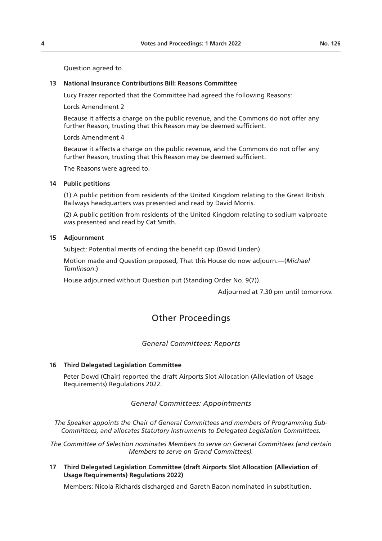#### **13 National Insurance Contributions Bill: Reasons Committee**

Lucy Frazer reported that the Committee had agreed the following Reasons:

Lords Amendment 2

Question agreed to.

Because it affects a charge on the public revenue, and the Commons do not offer any further Reason, trusting that this Reason may be deemed sufficient.

Lords Amendment 4

Because it affects a charge on the public revenue, and the Commons do not offer any further Reason, trusting that this Reason may be deemed sufficient.

The Reasons were agreed to.

#### **14 Public petitions**

(1) A public petition from residents of the United Kingdom relating to the Great British Railways headquarters was presented and read by David Morris.

(2) A public petition from residents of the United Kingdom relating to sodium valproate was presented and read by Cat Smith.

### **15 Adjournment**

Subject: Potential merits of ending the benefit cap (David Linden)

Motion made and Question proposed, That this House do now adjourn.—(*Michael Tomlinson*.)

House adjourned without Question put (Standing Order No. 9(7)).

Adjourned at 7.30 pm until tomorrow.

## Other Proceedings

## *General Committees: Reports*

#### **16 Third Delegated Legislation Committee**

Peter Dowd (Chair) reported the draft Airports Slot Allocation (Alleviation of Usage Requirements) Regulations 2022.

## *General Committees: Appointments*

*The Speaker appoints the Chair of General Committees and members of Programming Sub-Committees, and allocates Statutory Instruments to Delegated Legislation Committees.*

*The Committee of Selection nominates Members to serve on General Committees (and certain Members to serve on Grand Committees).*

**17 Third Delegated Legislation Committee (draft Airports Slot Allocation (Alleviation of Usage Requirements) Regulations 2022)**

Members: Nicola Richards discharged and Gareth Bacon nominated in substitution.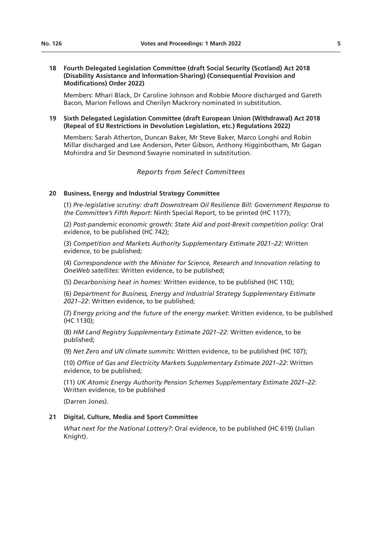## **18 Fourth Delegated Legislation Committee (draft Social Security (Scotland) Act 2018 (Disability Assistance and Information-Sharing) (Consequential Provision and Modifications) Order 2022)**

Members: Mhari Black, Dr Caroline Johnson and Robbie Moore discharged and Gareth Bacon, Marion Fellows and Cherilyn Mackrory nominated in substitution.

## **19 Sixth Delegated Legislation Committee (draft European Union (Withdrawal) Act 2018 (Repeal of EU Restrictions in Devolution Legislation, etc.) Regulations 2022)**

Members: Sarah Atherton, Duncan Baker, Mr Steve Baker, Marco Longhi and Robin Millar discharged and Lee Anderson, Peter Gibson, Anthony Higginbotham, Mr Gagan Mohindra and Sir Desmond Swayne nominated in substitution.

## *Reports from Select Committees*

## **20 Business, Energy and Industrial Strategy Committee**

(1) *Pre-legislative scrutiny: draft Downstream Oil Resilience Bill: Government Response to the Committee's Fifth Report*: Ninth Special Report, to be printed (HC 1177);

(2) *Post-pandemic economic growth: State Aid and post-Brexit competition policy*: Oral evidence, to be published (HC 742);

(3) *Competition and Markets Authority Supplementary Estimate 2021–22*: Written evidence, to be published;

(4) *Correspondence with the Minister for Science, Research and Innovation relating to OneWeb satellites*: Written evidence, to be published;

(5) *Decarbonising heat in homes*: Written evidence, to be published (HC 110);

(6) *Department for Business, Energy and Industrial Strategy Supplementary Estimate 2021–22*: Written evidence, to be published;

(7) *Energy pricing and the future of the energy market*: Written evidence, to be published (HC 1130);

(8) *HM Land Registry Supplementary Estimate 2021–22*: Written evidence, to be published;

(9) *Net Zero and UN climate summits*: Written evidence, to be published (HC 107);

(10) *Office of Gas and Electricity Markets Supplementary Estimate 2021–22*: Written evidence, to be published;

(11) *UK Atomic Energy Authority Pension Schemes Supplementary Estimate 2021–22*: Written evidence, to be published

(Darren Jones).

#### **21 Digital, Culture, Media and Sport Committee**

*What next for the National Lottery?*: Oral evidence, to be published (HC 619) (Julian Knight).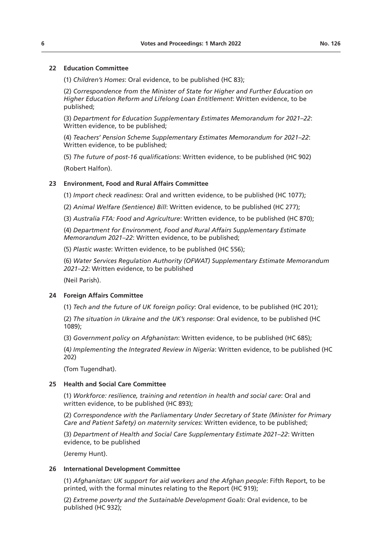## **22 Education Committee**

(1) *Children's Homes*: Oral evidence, to be published (HC 83);

(2) *Correspondence from the Minister of State for Higher and Further Education on Higher Education Reform and Lifelong Loan Entitlement*: Written evidence, to be published;

(3) *Department for Education Supplementary Estimates Memorandum for 2021–22*: Written evidence, to be published;

(4) *Teachers' Pension Scheme Supplementary Estimates Memorandum for 2021–22*: Written evidence, to be published;

(5) *The future of post-16 qualifications*: Written evidence, to be published (HC 902) (Robert Halfon).

## **23 Environment, Food and Rural Affairs Committee**

(1) *Import check readiness*: Oral and written evidence, to be published (HC 1077);

(2) *Animal Welfare (Sentience) Bill*: Written evidence, to be published (HC 277);

(3) *Australia FTA: Food and Agriculture*: Written evidence, to be published (HC 870);

(4) *Department for Environment, Food and Rural Affairs Supplementary Estimate Memorandum 2021–22*: Written evidence, to be published;

(5) *Plastic waste*: Written evidence, to be published (HC 556);

(6) *Water Services Regulation Authority (OFWAT) Supplementary Estimate Memorandum 2021–22*: Written evidence, to be published

(Neil Parish).

## **24 Foreign Affairs Committee**

(1) *Tech and the future of UK foreign policy*: Oral evidence, to be published (HC 201);

(2) *The situation in Ukraine and the UK's response*: Oral evidence, to be published (HC 1089);

(3) *Government policy on Afghanistan*: Written evidence, to be published (HC 685);

(4*) Implementing the Integrated Review in Nigeria*: Written evidence, to be published (HC 202)

(Tom Tugendhat).

## **25 Health and Social Care Committee**

(1) *Workforce: resilience, training and retention in health and social care*: Oral and written evidence, to be published (HC 893);

(2) *Correspondence with the Parliamentary Under Secretary of State (Minister for Primary Care and Patient Safety) on maternity services*: Written evidence, to be published;

(3) *Department of Health and Social Care Supplementary Estimate 2021–22*: Written evidence, to be published

(Jeremy Hunt).

## **26 International Development Committee**

(1) *Afghanistan: UK support for aid workers and the Afghan people*: Fifth Report, to be printed, with the formal minutes relating to the Report (HC 919);

(2) *Extreme poverty and the Sustainable Development Goals*: Oral evidence, to be published (HC 932);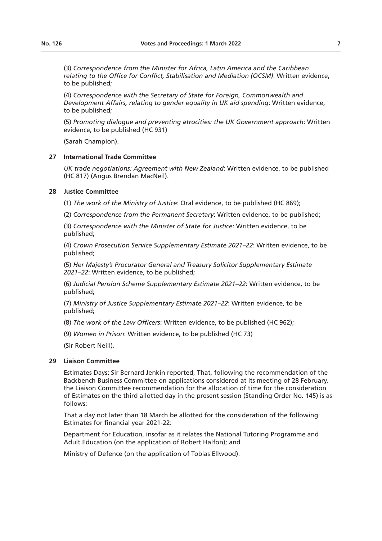(3) *Correspondence from the Minister for Africa, Latin America and the Caribbean relating to the Office for Conflict, Stabilisation and Mediation (OCSM)*: Written evidence, to be published;

(4) *Correspondence with the Secretary of State for Foreign, Commonwealth and Development Affairs, relating to gender equality in UK aid spending*: Written evidence, to be published;

(5) *Promoting dialogue and preventing atrocities: the UK Government approach*: Written evidence, to be published (HC 931)

(Sarah Champion).

#### **27 International Trade Committee**

*UK trade negotiations: Agreement with New Zealand*: Written evidence, to be published (HC 817) (Angus Brendan MacNeil).

## **28 Justice Committee**

(1) *The work of the Ministry of Justice*: Oral evidence, to be published (HC 869);

(2) *Correspondence from the Permanent Secretary*: Written evidence, to be published;

(3) *Correspondence with the Minister of State for Justice*: Written evidence, to be published;

(4) *Crown Prosecution Service Supplementary Estimate 2021–22*: Written evidence, to be published;

(5) *Her Majesty's Procurator General and Treasury Solicitor Supplementary Estimate 2021–22*: Written evidence, to be published;

(6) *Judicial Pension Scheme Supplementary Estimate 2021–22*: Written evidence, to be published;

(7) *Ministry of Justice Supplementary Estimate 2021–22*: Written evidence, to be published;

(8) *The work of the Law Officers*: Written evidence, to be published (HC 962);

(9) *Women in Prison*: Written evidence, to be published (HC 73)

(Sir Robert Neill).

#### **29 Liaison Committee**

Estimates Days: Sir Bernard Jenkin reported, That, following the recommendation of the Backbench Business Committee on applications considered at its meeting of 28 February, the Liaison Committee recommendation for the allocation of time for the consideration of Estimates on the third allotted day in the present session (Standing Order No. 145) is as follows:

That a day not later than 18 March be allotted for the consideration of the following Estimates for financial year 2021-22:

Department for Education, insofar as it relates the National Tutoring Programme and Adult Education (on the application of Robert Halfon); and

Ministry of Defence (on the application of Tobias Ellwood).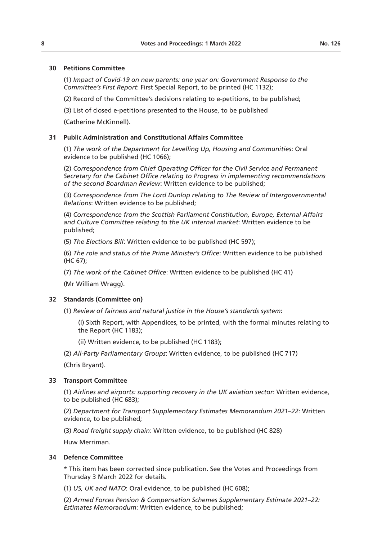## **30 Petitions Committee**

(1) *Impact of Covid-19 on new parents: one year on: Government Response to the Committee's First Report*: First Special Report, to be printed (HC 1132);

(2) Record of the Committee's decisions relating to e-petitions, to be published;

(3) List of closed e-petitions presented to the House, to be published

(Catherine McKinnell).

## **31 Public Administration and Constitutional Affairs Committee**

(1) *The work of the Department for Levelling Up, Housing and Communities*: Oral evidence to be published (HC 1066);

(2) *Correspondence from Chief Operating Officer for the Civil Service and Permanent Secretary for the Cabinet Office relating to Progress in implementing recommendations of the second Boardman Review*: Written evidence to be published;

(3) *Correspondence from The Lord Dunlop relating to The Review of Intergovernmental Relations*: Written evidence to be published;

(4) *Correspondence from the Scottish Parliament Constitution, Europe, External Affairs and Culture Committee relating to the UK internal market*: Written evidence to be published;

(5) *The Elections Bill*: Written evidence to be published (HC 597);

(6) *The role and status of the Prime Minister's Office*: Written evidence to be published (HC 67);

(7) *The work of the Cabinet Office*: Written evidence to be published (HC 41)

(Mr William Wragg).

## **32 Standards (Committee on)**

(1) *Review of fairness and natural justice in the House's standards system*:

(i) Sixth Report, with Appendices, to be printed, with the formal minutes relating to the Report (HC 1183);

(ii) Written evidence, to be published (HC 1183);

(2) *All-Party Parliamentary Groups*: Written evidence, to be published (HC 717)

(Chris Bryant).

## **33 Transport Committee**

(1) *Airlines and airports: supporting recovery in the UK aviation sector*: Written evidence, to be published (HC 683);

(2) *Department for Transport Supplementary Estimates Memorandum 2021–22*: Written evidence, to be published;

(3) *Road freight supply chain*: Written evidence, to be published (HC 828)

Huw Merriman.

## **34 Defence Committee**

\* This item has been corrected since publication. See the Votes and Proceedings from Thursday 3 March 2022 for details.

(1) *US, UK and NATO*: Oral evidence, to be published (HC 608);

(2) *Armed Forces Pension & Compensation Schemes Supplementary Estimate 2021–22: Estimates Memorandum*: Written evidence, to be published;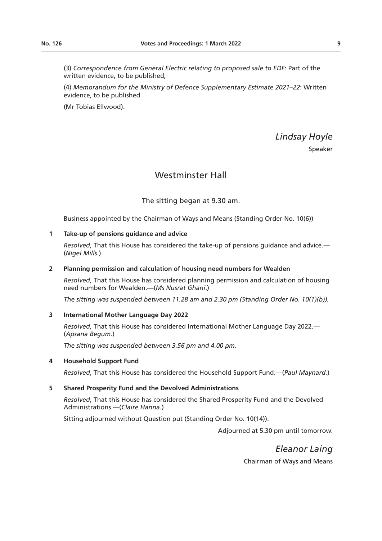(3) *Correspondence from General Electric relating to proposed sale to EDF*: Part of the written evidence, to be published;

(4) *Memorandum for the Ministry of Defence Supplementary Estimate 2021–22*: Written evidence, to be published

(Mr Tobias Ellwood).

# *Lindsay Hoyle*

Speaker

# Westminster Hall

The sitting began at 9.30 am.

Business appointed by the Chairman of Ways and Means (Standing Order No. 10(6))

#### **1 Take-up of pensions guidance and advice**

*Resolved*, That this House has considered the take-up of pensions guidance and advice.— (*Nigel Mills.*)

## **2 Planning permission and calculation of housing need numbers for Wealden**

*Resolved*, That this House has considered planning permission and calculation of housing need numbers for Wealden.—(*Ms Nusrat Ghani*.)

*The sitting was suspended between 11.28 am and 2.30 pm (Standing Order No. 10(1)(b)).*

#### **3 International Mother Language Day 2022**

*Resolved*, That this House has considered International Mother Language Day 2022.— (*Apsana Begum.*)

*The sitting was suspended between 3.56 pm and 4.00 pm.*

## **4 Household Support Fund**

*Resolved*, That this House has considered the Household Support Fund.—(*Paul Maynard.*)

## **5 Shared Prosperity Fund and the Devolved Administrations**

*Resolved*, That this House has considered the Shared Prosperity Fund and the Devolved Administrations.—(*Claire Hanna.*)

Sitting adjourned without Question put (Standing Order No. 10(14)).

Adjourned at 5.30 pm until tomorrow.

*Eleanor Laing* Chairman of Ways and Means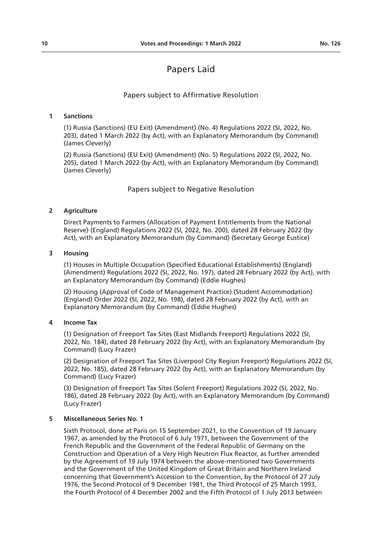# Papers Laid

## Papers subject to Affirmative Resolution

#### **1 Sanctions**

(1) Russia (Sanctions) (EU Exit) (Amendment) (No. 4) Regulations 2022 (SI, 2022, No. 203), dated 1 March 2022 (by Act), with an Explanatory Memorandum (by Command) (James Cleverly)

(2) Russia (Sanctions) (EU Exit) (Amendment) (No. 5) Regulations 2022 (SI, 2022, No. 205), dated 1 March 2022 (by Act), with an Explanatory Memorandum (by Command) (James Cleverly)

Papers subject to Negative Resolution

#### **2 Agriculture**

Direct Payments to Farmers (Allocation of Payment Entitlements from the National Reserve) (England) Regulations 2022 (SI, 2022, No. 200), dated 28 February 2022 (by Act), with an Explanatory Memorandum (by Command) (Secretary George Eustice)

#### **3 Housing**

(1) Houses in Multiple Occupation (Specified Educational Establishments) (England) (Amendment) Regulations 2022 (SI, 2022, No. 197), dated 28 February 2022 (by Act), with an Explanatory Memorandum (by Command) (Eddie Hughes)

(2) Housing (Approval of Code of Management Practice) (Student Accommodation) (England) Order 2022 (SI, 2022, No. 198), dated 28 February 2022 (by Act), with an Explanatory Memorandum (by Command) (Eddie Hughes)

## **4 Income Tax**

(1) Designation of Freeport Tax Sites (East Midlands Freeport) Regulations 2022 (SI, 2022, No. 184), dated 28 February 2022 (by Act), with an Explanatory Memorandum (by Command) (Lucy Frazer)

(2) Designation of Freeport Tax Sites (Liverpool City Region Freeport) Regulations 2022 (SI, 2022, No. 185), dated 28 February 2022 (by Act), with an Explanatory Memorandum (by Command) (Lucy Frazer)

(3) Designation of Freeport Tax Sites (Solent Freeport) Regulations 2022 (SI, 2022, No. 186), dated 28 February 2022 (by Act), with an Explanatory Memorandum (by Command) (Lucy Frazer)

## **5 Miscellaneous Series No. 1**

Sixth Protocol, done at Paris on 15 September 2021, to the Convention of 19 January 1967, as amended by the Protocol of 6 July 1971, between the Government of the French Republic and the Government of the Federal Republic of Germany on the Construction and Operation of a Very High Neutron Flux Reactor, as further amended by the Agreement of 19 July 1974 between the above-mentioned two Governments and the Government of the United Kingdom of Great Britain and Northern Ireland concerning that Government's Accession to the Convention, by the Protocol of 27 July 1976, the Second Protocol of 9 December 1981, the Third Protocol of 25 March 1993, the Fourth Protocol of 4 December 2002 and the Fifth Protocol of 1 July 2013 between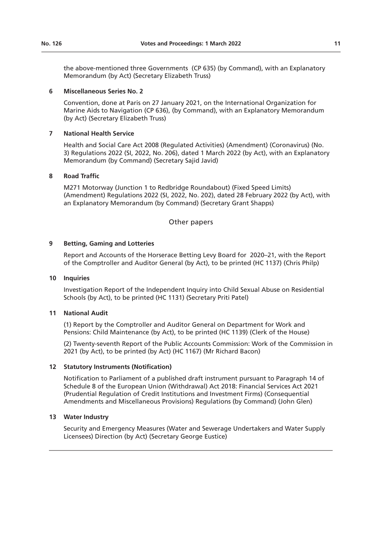the above-mentioned three Governments (CP 635) (by Command), with an Explanatory Memorandum (by Act) (Secretary Elizabeth Truss)

## **6 Miscellaneous Series No. 2**

Convention, done at Paris on 27 January 2021, on the International Organization for Marine Aids to Navigation (CP 636), (by Command), with an Explanatory Memorandum (by Act) (Secretary Elizabeth Truss)

## **7 National Health Service**

Health and Social Care Act 2008 (Regulated Activities) (Amendment) (Coronavirus) (No. 3) Regulations 2022 (SI, 2022, No. 206), dated 1 March 2022 (by Act), with an Explanatory Memorandum (by Command) (Secretary Sajid Javid)

#### **8 Road Traffic**

M271 Motorway (Junction 1 to Redbridge Roundabout) (Fixed Speed Limits) (Amendment) Regulations 2022 (SI, 2022, No. 202), dated 28 February 2022 (by Act), with an Explanatory Memorandum (by Command) (Secretary Grant Shapps)

## Other papers

#### **9 Betting, Gaming and Lotteries**

Report and Accounts of the Horserace Betting Levy Board for 2020–21, with the Report of the Comptroller and Auditor General (by Act), to be printed (HC 1137) (Chris Philp)

## **10 Inquiries**

Investigation Report of the Independent Inquiry into Child Sexual Abuse on Residential Schools (by Act), to be printed (HC 1131) (Secretary Priti Patel)

#### **11 National Audit**

(1) Report by the Comptroller and Auditor General on Department for Work and Pensions: Child Maintenance (by Act), to be printed (HC 1139) (Clerk of the House)

(2) Twenty-seventh Report of the Public Accounts Commission: Work of the Commission in 2021 (by Act), to be printed (by Act) (HC 1167) (Mr Richard Bacon)

#### **12 Statutory Instruments (Notification)**

Notification to Parliament of a published draft instrument pursuant to Paragraph 14 of Schedule 8 of the European Union (Withdrawal) Act 2018: Financial Services Act 2021 (Prudential Regulation of Credit Institutions and Investment Firms) (Consequential Amendments and Miscellaneous Provisions) Regulations (by Command) (John Glen)

#### **13 Water Industry**

Security and Emergency Measures (Water and Sewerage Undertakers and Water Supply Licensees) Direction (by Act) (Secretary George Eustice)